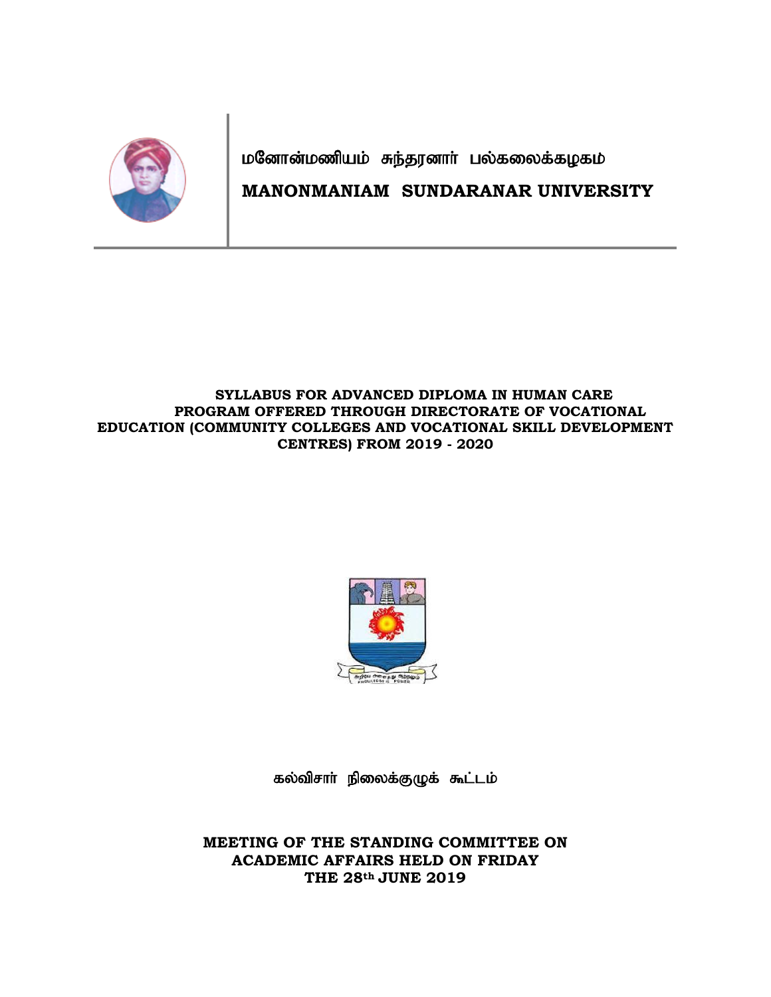

மனோன்மணியம் சுந்தரனாா் பல்கலைக்கழகம்

## **MANONMANIAM SUNDARANAR UNIVERSITY**

### **SYLLABUS FOR ADVANCED DIPLOMA IN HUMAN CARE PROGRAM OFFERED THROUGH DIRECTORATE OF VOCATIONAL EDUCATION (COMMUNITY COLLEGES AND VOCATIONAL SKILL DEVELOPMENT CENTRES) FROM 2019 - 2020**



கல்விசாா் நிலைக்குழுக் கூட்டம்

**MEETING OF THE STANDING COMMITTEE ON ACADEMIC AFFAIRS HELD ON FRIDAY THE 28th JUNE 2019**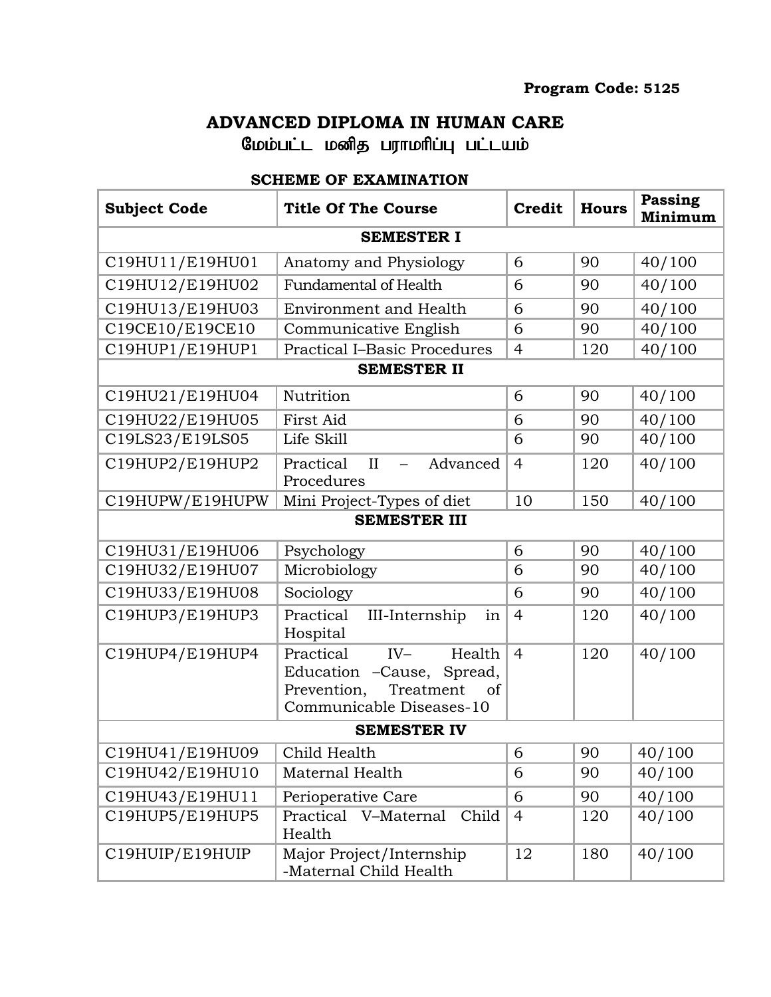# **ADVANCED DIPLOMA IN HUMAN CARE**

மேம்பட்ட மனித பராமரிப்பு பட்டயம்

## **SCHEME OF EXAMINATION**

| <b>Subject Code</b> | <b>Title Of The Course</b>                                                                                              | <b>Credit</b>  | <b>Hours</b> | <b>Passing</b><br>Minimum |  |  |
|---------------------|-------------------------------------------------------------------------------------------------------------------------|----------------|--------------|---------------------------|--|--|
| <b>SEMESTER I</b>   |                                                                                                                         |                |              |                           |  |  |
| C19HU11/E19HU01     | Anatomy and Physiology                                                                                                  | 6              | 90           | 40/100                    |  |  |
| C19HU12/E19HU02     | <b>Fundamental of Health</b>                                                                                            | 6              | 90           | 40/100                    |  |  |
| C19HU13/E19HU03     | <b>Environment and Health</b>                                                                                           | 6              | 90           | 40/100                    |  |  |
| C19CE10/E19CE10     | Communicative English                                                                                                   | 6              | 90           | 40/100                    |  |  |
| C19HUP1/E19HUP1     | <b>Practical I-Basic Procedures</b>                                                                                     | $\overline{4}$ | 120          | 40/100                    |  |  |
| <b>SEMESTER II</b>  |                                                                                                                         |                |              |                           |  |  |
| C19HU21/E19HU04     | Nutrition                                                                                                               | 6              | 90           | 40/100                    |  |  |
| C19HU22/E19HU05     | First Aid                                                                                                               | 6              | 90           | 40/100                    |  |  |
| C19LS23/E19LS05     | Life Skill                                                                                                              | 6              | 90           | 40/100                    |  |  |
| C19HUP2/E19HUP2     | Practical<br>II<br>Advanced<br>$\overline{\phantom{0}}$<br>Procedures                                                   | $\overline{4}$ | 120          | 40/100                    |  |  |
| C19HUPW/E19HUPW     | Mini Project-Types of diet                                                                                              | 10             | 150          | 40/100                    |  |  |
| <b>SEMESTER III</b> |                                                                                                                         |                |              |                           |  |  |
| C19HU31/E19HU06     | Psychology                                                                                                              | 6              | 90           | 40/100                    |  |  |
| C19HU32/E19HU07     | Microbiology                                                                                                            | 6              | 90           | 40/100                    |  |  |
| C19HU33/E19HU08     | Sociology                                                                                                               | 6              | 90           | 40/100                    |  |  |
| C19HUP3/E19HUP3     | Practical<br>III-Internship<br>in<br>Hospital                                                                           | $\overline{4}$ | 120          | $\frac{1}{40}$ /100       |  |  |
| C19HUP4/E19HUP4     | Practical<br>$IV-$<br>Health<br>Education -Cause, Spread,<br>Prevention,<br>Treatment<br>of<br>Communicable Diseases-10 | $\overline{4}$ | 120          | 40/100                    |  |  |
| <b>SEMESTER IV</b>  |                                                                                                                         |                |              |                           |  |  |
| C19HU41/E19HU09     | Child Health                                                                                                            | 6              | 90           | 40/100                    |  |  |
| C19HU42/E19HU10     | Maternal Health                                                                                                         | 6              | 90           | 40/100                    |  |  |
| C19HU43/E19HU11     | Perioperative Care                                                                                                      | 6              | 90           | 40/100                    |  |  |
| C19HUP5/E19HUP5     | Practical V-Maternal<br>Child<br>Health                                                                                 | $\overline{4}$ | 120          | 40/100                    |  |  |
| C19HUIP/E19HUIP     | Major Project/Internship<br>-Maternal Child Health                                                                      | 12             | 180          | 40/100                    |  |  |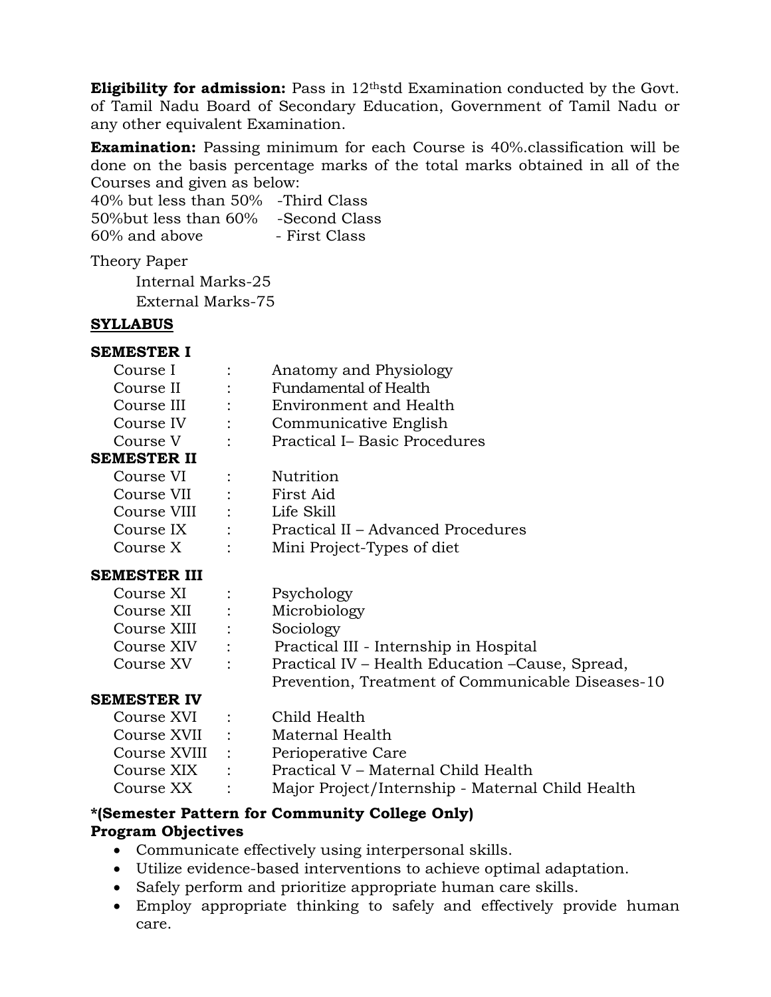**Eligibility for admission:** Pass in 12<sup>th</sup>std Examination conducted by the Govt. of Tamil Nadu Board of Secondary Education, Government of Tamil Nadu or any other equivalent Examination.

**Examination:** Passing minimum for each Course is 40%.classification will be done on the basis percentage marks of the total marks obtained in all of the Courses and given as below:

40% but less than 50% -Third Class 50%but less than 60% -Second Class 60% and above - First Class

Theory Paper

Internal Marks-25 External Marks-75

### **SYLLABUS**

### **SEMESTER I**

| Course I                 |                               | Anatomy and Physiology                            |  |  |
|--------------------------|-------------------------------|---------------------------------------------------|--|--|
| Course II                |                               | Fundamental of Health                             |  |  |
| Course III               | $\mathbf{1}$ and $\mathbf{1}$ | Environment and Health                            |  |  |
| Course IV :              |                               | Communicative English                             |  |  |
| Course V                 | $\ddot{\phantom{a}}$          | <b>Practical I- Basic Procedures</b>              |  |  |
| SEMESTER II              |                               |                                                   |  |  |
| Course VI                |                               | Nutrition                                         |  |  |
| Course VII : First Aid   |                               |                                                   |  |  |
| Course VIII : Life Skill |                               |                                                   |  |  |
|                          |                               | Course IX : Practical II – Advanced Procedures    |  |  |
| Course X                 | $\ddot{\cdot}$                | Mini Project-Types of diet                        |  |  |
| SEMESTER III             |                               |                                                   |  |  |
| Course XI                |                               | Psychology                                        |  |  |
| Course XII :             |                               | Microbiology                                      |  |  |
| Course XIII              |                               | Sociology                                         |  |  |
| Course XIV :             |                               | Practical III - Internship in Hospital            |  |  |
| Course XV                | ÷                             | Practical IV – Health Education – Cause, Spread,  |  |  |
|                          |                               | Prevention, Treatment of Communicable Diseases-10 |  |  |
| SEMESTER IV              |                               |                                                   |  |  |
| Course XVI               |                               | Child Health                                      |  |  |

|                |                          | Course XVI : Child Health                        |
|----------------|--------------------------|--------------------------------------------------|
| Course XVII :  |                          | Maternal Health                                  |
| Course XVIII : |                          | Perioperative Care                               |
| Course XIX     | <b>Contract Contract</b> | Practical V – Maternal Child Health              |
| Course XX :    |                          | Major Project/Internship - Maternal Child Health |

## **\*(Semester Pattern for Community College Only)**

## **Program Objectives**

- Communicate effectively using interpersonal skills.
- Utilize evidence-based interventions to achieve optimal adaptation.
- Safely perform and prioritize appropriate human care skills.
- Employ appropriate thinking to safely and effectively provide human care.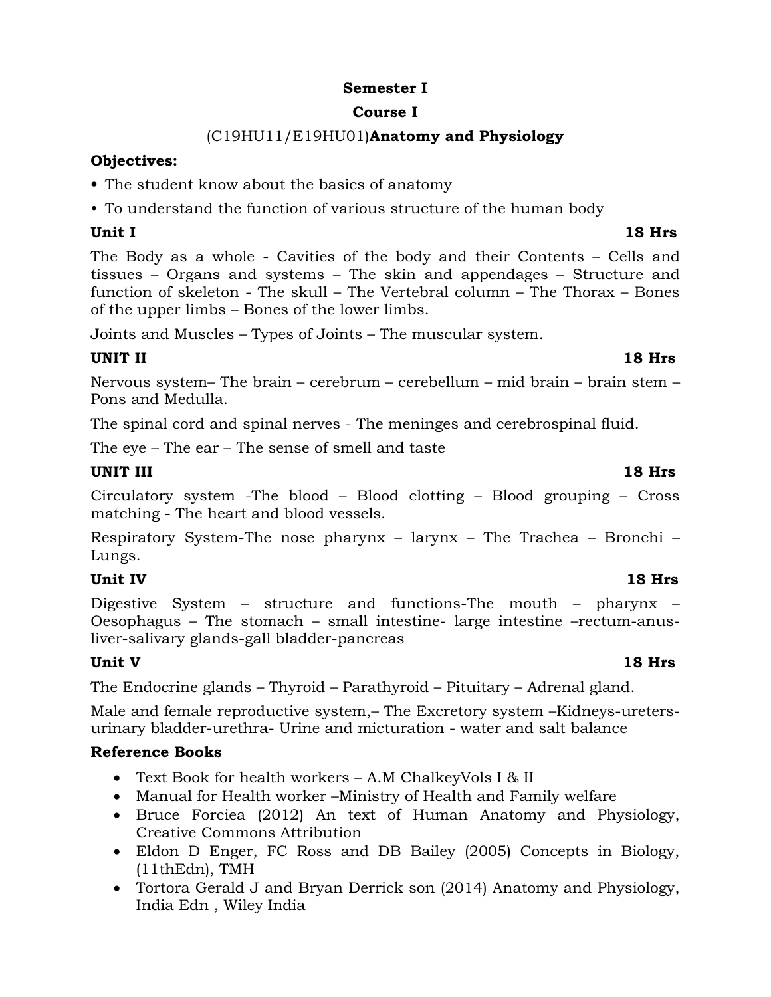### **Semester I**

### **Course I**

## (C19HU11/E19HU01)**Anatomy and Physiology**

### **Objectives:**

- **•** The student know about the basics of anatomy
- To understand the function of various structure of the human body

### **Unit I 18 Hrs**

The Body as a whole - Cavities of the body and their Contents – Cells and tissues – Organs and systems – The skin and appendages – Structure and function of skeleton - The skull – The Vertebral column – The Thorax – Bones of the upper limbs – Bones of the lower limbs.

Joints and Muscles – Types of Joints – The muscular system.

### **UNIT II 18 Hrs**

Nervous system– The brain – cerebrum – cerebellum – mid brain – brain stem – Pons and Medulla.

The spinal cord and spinal nerves - The meninges and cerebrospinal fluid.

The eye – The ear – The sense of smell and taste

### **UNIT III** 18 Hrs

Circulatory system -The blood – Blood clotting – Blood grouping – Cross matching - The heart and blood vessels.

Respiratory System-The nose pharynx – larynx – The Trachea – Bronchi – Lungs.

### **Unit IV 18 Hrs**

Digestive System – structure and functions-The mouth – pharynx – Oesophagus – The stomach – small intestine- large intestine –rectum-anusliver-salivary glands-gall bladder-pancreas

### **Unit V 18 Hrs**

The Endocrine glands – Thyroid – Parathyroid – Pituitary – Adrenal gland.

Male and female reproductive system,– The Excretory system –Kidneys-uretersurinary bladder-urethra- Urine and micturation - water and salt balance

- Text Book for health workers A.M ChalkeyVols I & II
- Manual for Health worker –Ministry of Health and Family welfare
- Bruce Forciea (2012) An text of Human Anatomy and Physiology, Creative Commons Attribution
- Eldon D Enger, FC Ross and DB Bailey (2005) Concepts in Biology, (11thEdn), TMH
- Tortora Gerald J and Bryan Derrick son (2014) Anatomy and Physiology, India Edn , Wiley India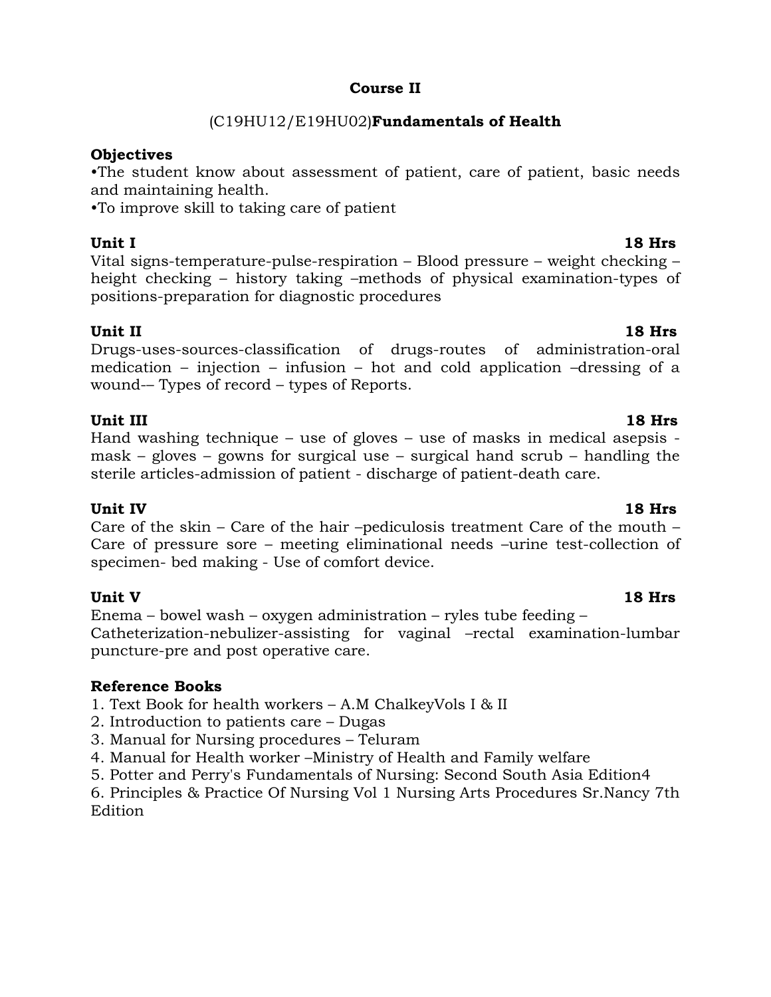### **Course II**

### (C19HU12/E19HU02)**Fundamentals of Health**

### **Objectives**

•The student know about assessment of patient, care of patient, basic needs and maintaining health.

•To improve skill to taking care of patient

### **Unit I 18 Hrs**

Vital signs-temperature-pulse-respiration – Blood pressure – weight checking – height checking – history taking –methods of physical examination-types of positions-preparation for diagnostic procedures

### **Unit II 18 Hrs**

Drugs-uses-sources-classification of drugs-routes of administration-oral medication – injection – infusion – hot and cold application –dressing of a wound-– Types of record – types of Reports.

### **Unit III** 18 Hrs

Hand washing technique – use of gloves – use of masks in medical asepsis mask – gloves – gowns for surgical use – surgical hand scrub – handling the sterile articles-admission of patient - discharge of patient-death care.

### **Unit IV 18 Hrs**

Care of the skin – Care of the hair –pediculosis treatment Care of the mouth – Care of pressure sore – meeting eliminational needs –urine test-collection of specimen- bed making - Use of comfort device.

**Unit V 18 Hrs** Enema – bowel wash – oxygen administration – ryles tube feeding – Catheterization-nebulizer-assisting for vaginal –rectal examination-lumbar puncture-pre and post operative care.

### **Reference Books**

1. Text Book for health workers – A.M ChalkeyVols I & II

- 2. Introduction to patients care Dugas
- 3. Manual for Nursing procedures Teluram
- 4. Manual for Health worker –Ministry of Health and Family welfare

5. Potter and Perry's Fundamentals of Nursing: Second South Asia Edition4

6. Principles & Practice Of Nursing Vol 1 Nursing Arts Procedures Sr.Nancy 7th Edition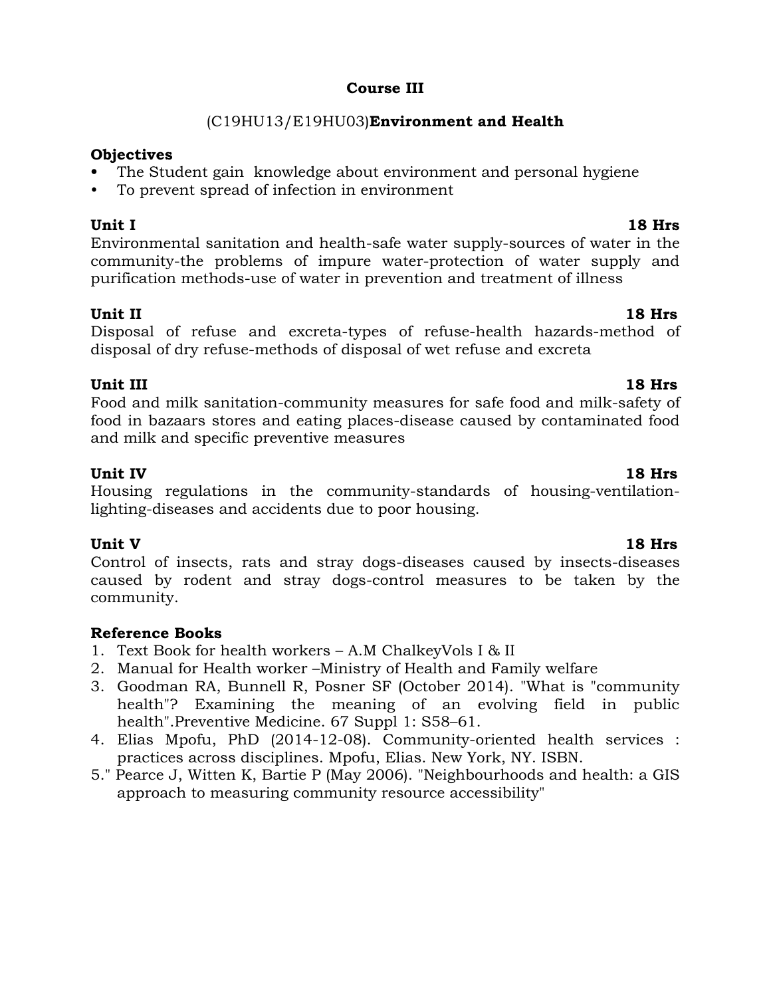### **Course III**

## (C19HU13/E19HU03)**Environment and Health**

### **Objectives**

- **•** The Student gain knowledge about environment and personal hygiene
- To prevent spread of infection in environment

**Unit I 18 Hrs** Environmental sanitation and health-safe water supply-sources of water in the community-the problems of impure water-protection of water supply and purification methods-use of water in prevention and treatment of illness

### **Unit II 18 Hrs**

Disposal of refuse and excreta-types of refuse-health hazards-method of disposal of dry refuse-methods of disposal of wet refuse and excreta

### **Unit III** 18 Hrs

Food and milk sanitation-community measures for safe food and milk-safety of food in bazaars stores and eating places-disease caused by contaminated food and milk and specific preventive measures

### **Unit IV 18 Hrs**

Housing regulations in the community-standards of housing-ventilationlighting-diseases and accidents due to poor housing.

## **Unit V 18 Hrs**

Control of insects, rats and stray dogs-diseases caused by insects-diseases caused by rodent and stray dogs-control measures to be taken by the community.

- 1. Text Book for health workers A.M ChalkeyVols I & II
- 2. Manual for Health worker –Ministry of Health and Family welfare
- 3. Goodman RA, Bunnell R, Posner SF (October 2014). "What is "community health"? Examining the meaning of an evolving field in public health".Preventive Medicine. 67 Suppl 1: S58–61.
- 4. Elias Mpofu, PhD (2014-12-08). Community-oriented health services : practices across disciplines. Mpofu, Elias. New York, NY. ISBN.
- 5." Pearce J, Witten K, Bartie P (May 2006). "Neighbourhoods and health: a GIS approach to measuring community resource accessibility"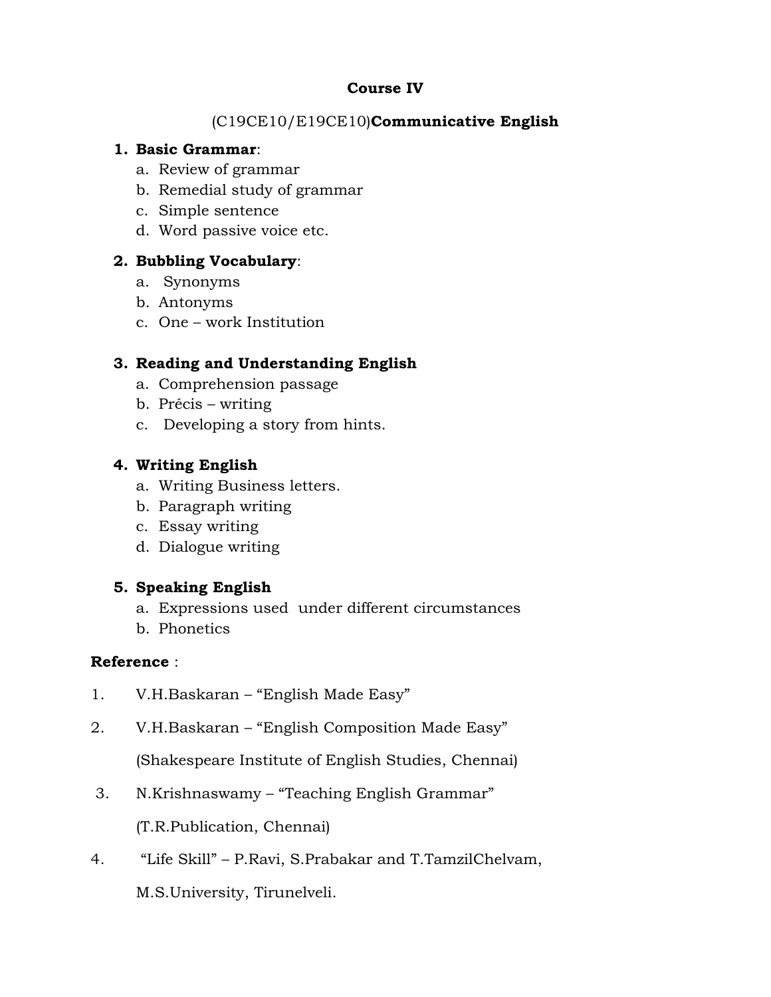### **Course IV**

### (C19CE10/E19CE10)**Communicative English**

### **1. Basic Grammar**:

- a. Review of grammar
- b. Remedial study of grammar
- c. Simple sentence
- d. Word passive voice etc.

### **2. Bubbling Vocabulary**:

- a. Synonyms
- b. Antonyms
- c. One work Institution

### **3. Reading and Understanding English**

- a. Comprehension passage
- b. Précis writing
- c. Developing a story from hints.

### **4. Writing English**

- a. Writing Business letters.
- b. Paragraph writing
- c. Essay writing
- d. Dialogue writing

### **5. Speaking English**

- a. Expressions used under different circumstances
- b. Phonetics

### **Reference** :

- 1. V.H.Baskaran "English Made Easy"
- 2. V.H.Baskaran "English Composition Made Easy"

(Shakespeare Institute of English Studies, Chennai)

3. N.Krishnaswamy – "Teaching English Grammar"

(T.R.Publication, Chennai)

4. "Life Skill" – P.Ravi, S.Prabakar and T.TamzilChelvam,

M.S.University, Tirunelveli.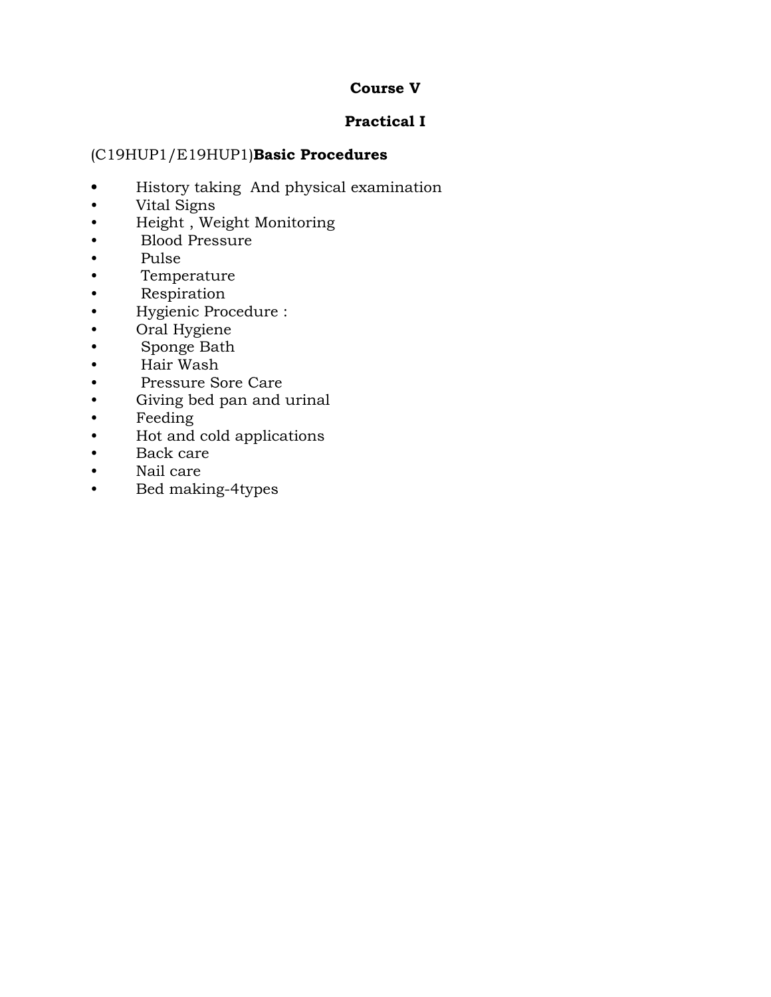### **Course V**

## **Practical I**

### (C19HUP1/E19HUP1)**Basic Procedures**

- **•** History taking And physical examination
- Vital Signs
- Height , Weight Monitoring
- Blood Pressure
- Pulse
- Temperature
- Respiration
- Hygienic Procedure :
- Oral Hygiene
- Sponge Bath
- Hair Wash
- Pressure Sore Care
- Giving bed pan and urinal
- Feeding
- Hot and cold applications
- Back care
- Nail care
- Bed making-4types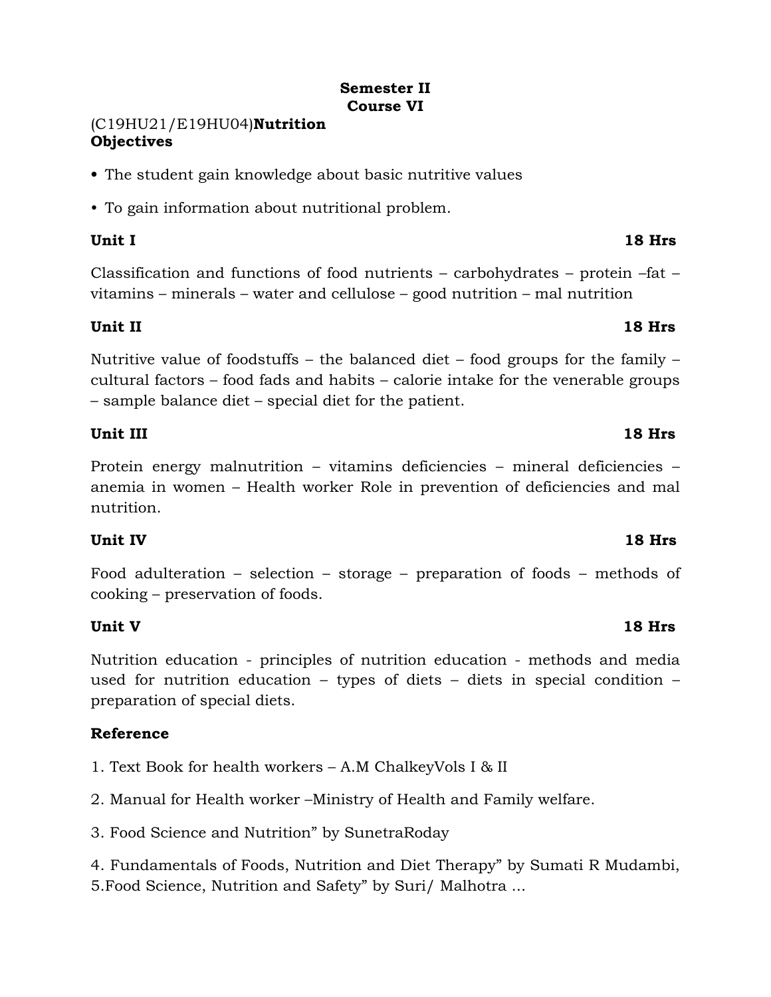### **Semester II Course VI**

### (C19HU21/E19HU04)**Nutrition Objectives**

- **•** The student gain knowledge about basic nutritive values
- To gain information about nutritional problem.

### **Unit I 18 Hrs**

Classification and functions of food nutrients – carbohydrates – protein –fat – vitamins – minerals – water and cellulose – good nutrition – mal nutrition

### **Unit II 18 Hrs**

Nutritive value of foodstuffs – the balanced diet – food groups for the family – cultural factors – food fads and habits – calorie intake for the venerable groups – sample balance diet – special diet for the patient.

### **Unit III** 18 Hrs

Protein energy malnutrition – vitamins deficiencies – mineral deficiencies – anemia in women – Health worker Role in prevention of deficiencies and mal nutrition.

## **Unit IV 18 Hrs**

Food adulteration – selection – storage – preparation of foods – methods of cooking – preservation of foods.

## **Unit V 18 Hrs**

Nutrition education - principles of nutrition education - methods and media used for nutrition education – types of diets – diets in special condition – preparation of special diets.

## **Reference**

1. Text Book for health workers – A.M ChalkeyVols I & II

2. Manual for Health worker –Ministry of Health and Family welfare.

3. Food Science and Nutrition" by SunetraRoday

4. Fundamentals of Foods, Nutrition and Diet Therapy" by Sumati R Mudambi, 5.Food Science, Nutrition and Safety" by Suri/ Malhotra ...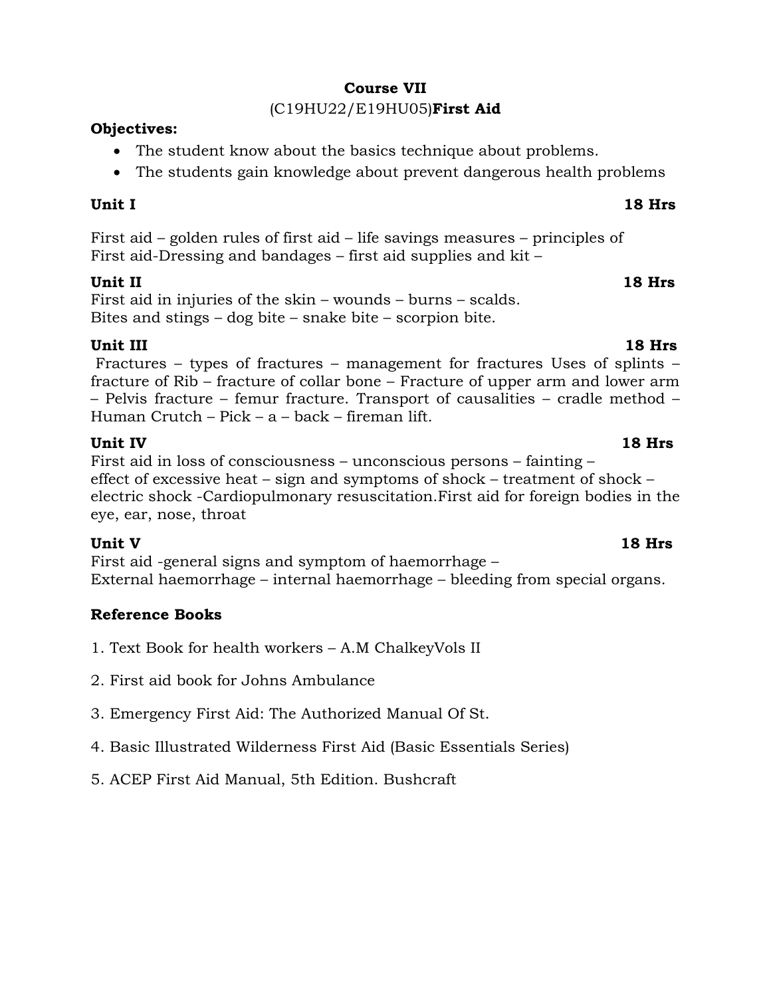### **Course VII**

### (C19HU22/E19HU05)**First Aid**

### **Objectives:**

- The student know about the basics technique about problems.
- The students gain knowledge about prevent dangerous health problems

## **Unit I 18 Hrs**

First aid – golden rules of first aid – life savings measures – principles of First aid-Dressing and bandages – first aid supplies and kit –

## **Unit II 18 Hrs**

First aid in injuries of the skin – wounds – burns – scalds. Bites and stings – dog bite – snake bite – scorpion bite.

## **Unit III** 18 Hrs

Fractures – types of fractures – management for fractures Uses of splints – fracture of Rib – fracture of collar bone – Fracture of upper arm and lower arm – Pelvis fracture – femur fracture. Transport of causalities – cradle method – Human Crutch – Pick – a – back – fireman lift.

## **Unit IV 18 Hrs**

First aid in loss of consciousness – unconscious persons – fainting – effect of excessive heat – sign and symptoms of shock – treatment of shock – electric shock -Cardiopulmonary resuscitation.First aid for foreign bodies in the eye, ear, nose, throat

## **Unit V 18 Hrs**

First aid -general signs and symptom of haemorrhage – External haemorrhage – internal haemorrhage – bleeding from special organs.

- 1. Text Book for health workers A.M ChalkeyVols II
- 2. First aid book for Johns Ambulance
- 3. Emergency First Aid: The Authorized Manual Of St.
- 4. Basic Illustrated Wilderness First Aid (Basic Essentials Series)
- 5. ACEP First Aid Manual, 5th Edition. Bushcraft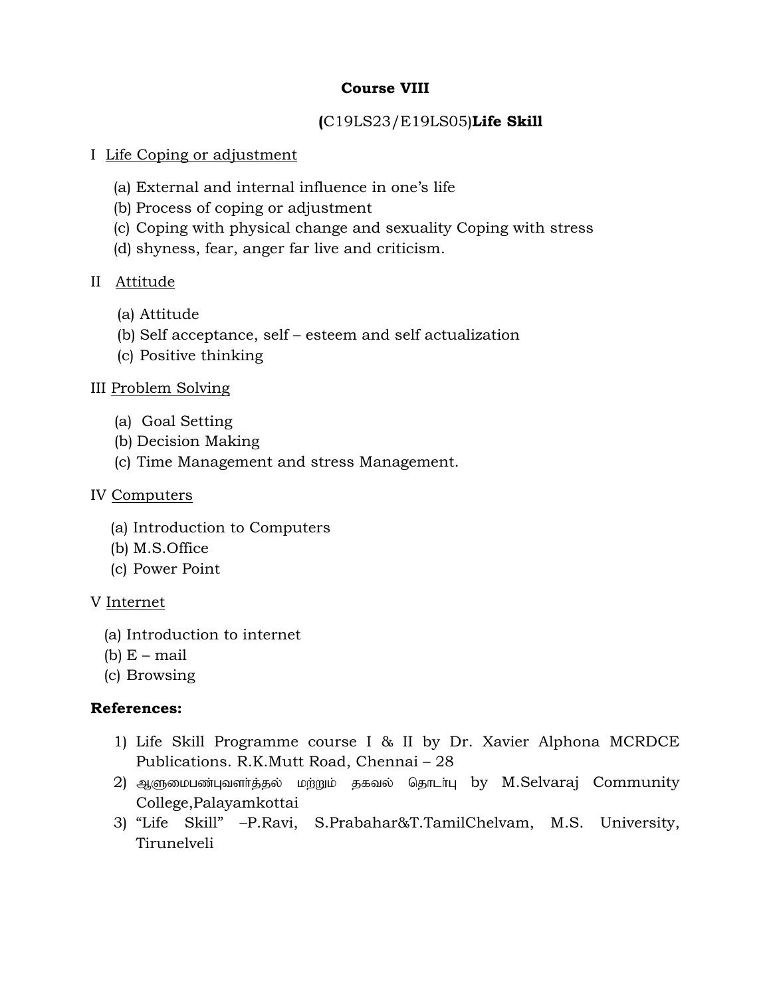### **Course VIII**

## **(**C19LS23/E19LS05)**Life Skill**

### I Life Coping or adjustment

- (a) External and internal influence in one's life
- (b) Process of coping or adjustment
- (c) Coping with physical change and sexuality Coping with stress
- (d) shyness, fear, anger far live and criticism.

### II Attitude

- (a) Attitude
- (b) Self acceptance, self esteem and self actualization
- (c) Positive thinking

### III Problem Solving

- (a) Goal Setting
- (b) Decision Making
- (c) Time Management and stress Management.

### IV Computers

- (a) Introduction to Computers
- (b) M.S.Office
- (c) Power Point

### V Internet

- (a) Introduction to internet
- (b)  $E$  mail
- (c) Browsing

### **References:**

- 1) Life Skill Programme course I & II by Dr. Xavier Alphona MCRDCE Publications. R.K.Mutt Road, Chennai – 28
- 2) ஆளுமைபண்புவளர்த்தல் மற்றும் தகவல் தொடர்பு by M.Selvaraj Community College,Palayamkottai
- 3) "Life Skill" –P.Ravi, S.Prabahar&T.TamilChelvam, M.S. University, Tirunelveli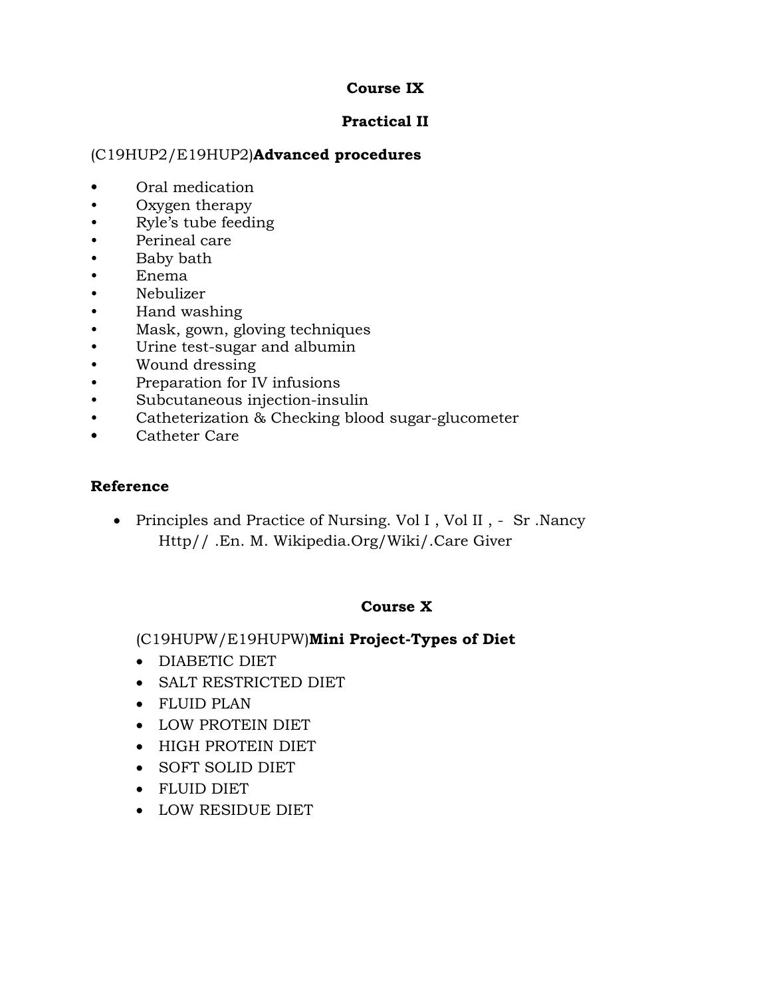### **Course IX**

### **Practical II**

### (C19HUP2/E19HUP2)**Advanced procedures**

- **•** Oral medication
- Oxygen therapy
- Ryle's tube feeding
- Perineal care
- Baby bath
- Enema
- Nebulizer
- Hand washing
- Mask, gown, gloving techniques
- Urine test-sugar and albumin
- Wound dressing
- Preparation for IV infusions
- Subcutaneous injection-insulin
- Catheterization & Checking blood sugar-glucometer
- **•** Catheter Care

### **Reference**

• Principles and Practice of Nursing. Vol I, Vol II, - Sr. Nancy Http// .En. M. Wikipedia.Org/Wiki/.Care Giver

## **Course X**

(C19HUPW/E19HUPW)**Mini Project-Types of Diet**

- DIABETIC DIET
- SALT RESTRICTED DIET
- FLUID PLAN
- LOW PROTEIN DIET
- HIGH PROTEIN DIET
- SOFT SOLID DIET
- FLUID DIET
- LOW RESIDUE DIET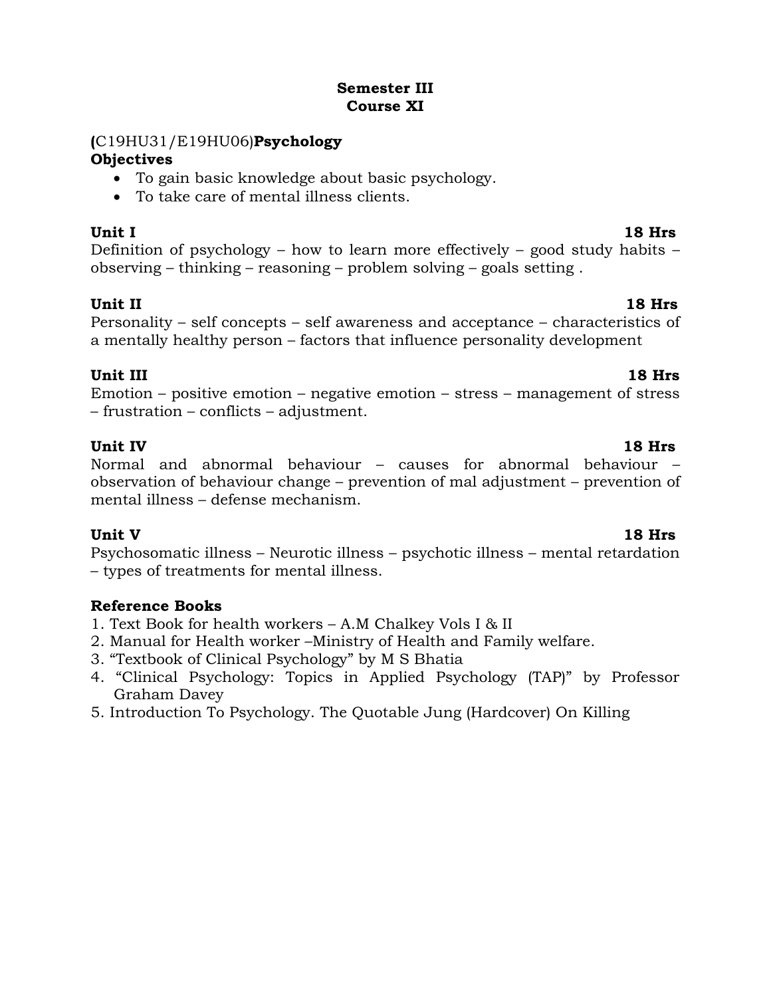### **Semester III Course XI**

### **(**C19HU31/E19HU06)**Psychology**

### **Objectives**

- To gain basic knowledge about basic psychology.
- To take care of mental illness clients.

## **Unit I 18 Hrs**

Definition of psychology – how to learn more effectively – good study habits – observing – thinking – reasoning – problem solving – goals setting .

### **Unit II 18 Hrs** Personality – self concepts – self awareness and acceptance – characteristics of a mentally healthy person – factors that influence personality development

## **Unit III** 18 Hrs

Emotion – positive emotion – negative emotion – stress – management of stress – frustration – conflicts – adjustment.

**Unit IV 18 Hrs** Normal and abnormal behaviour – causes for abnormal behaviour – observation of behaviour change – prevention of mal adjustment – prevention of mental illness – defense mechanism.

**Unit V 18 Hrs** Psychosomatic illness – Neurotic illness – psychotic illness – mental retardation – types of treatments for mental illness.

- 1. Text Book for health workers A.M Chalkey Vols I & II
- 2. Manual for Health worker –Ministry of Health and Family welfare.
- 3. "Textbook of Clinical Psychology" by M S Bhatia
- 4. "Clinical Psychology: Topics in Applied Psychology (TAP)" by Professor Graham Davey
- 5. Introduction To Psychology. The Quotable Jung (Hardcover) On Killing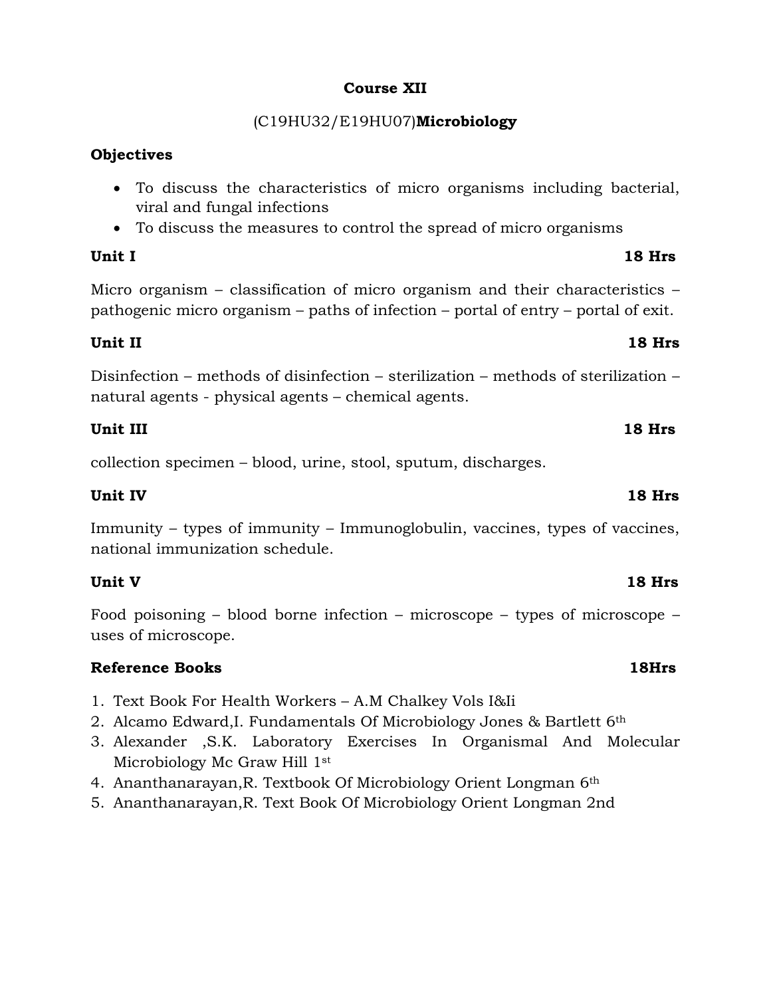### **Course XII**

## (C19HU32/E19HU07)**Microbiology**

### **Objectives**

- To discuss the characteristics of micro organisms including bacterial, viral and fungal infections
- To discuss the measures to control the spread of micro organisms

### **Unit I 18 Hrs**

Micro organism – classification of micro organism and their characteristics – pathogenic micro organism – paths of infection – portal of entry – portal of exit.

### **Unit II 18 Hrs**

Disinfection – methods of disinfection – sterilization – methods of sterilization – natural agents - physical agents – chemical agents.

### **Unit III** 18 Hrs

collection specimen – blood, urine, stool, sputum, discharges.

### **Unit IV 18 Hrs**

Immunity – types of immunity – Immunoglobulin, vaccines, types of vaccines, national immunization schedule.

### **Unit V 18 Hrs**

Food poisoning – blood borne infection – microscope – types of microscope – uses of microscope.

### **Reference Books 18Hrs**

- 1. Text Book For Health Workers A.M Chalkey Vols I&Ii
- 2. Alcamo Edward,I. Fundamentals Of Microbiology Jones & Bartlett 6th
- 3. Alexander ,S.K. Laboratory Exercises In Organismal And Molecular Microbiology Mc Graw Hill 1<sup>st</sup>
- 4. Ananthanarayan,R. Textbook Of Microbiology Orient Longman 6th
- 5. Ananthanarayan,R. Text Book Of Microbiology Orient Longman 2nd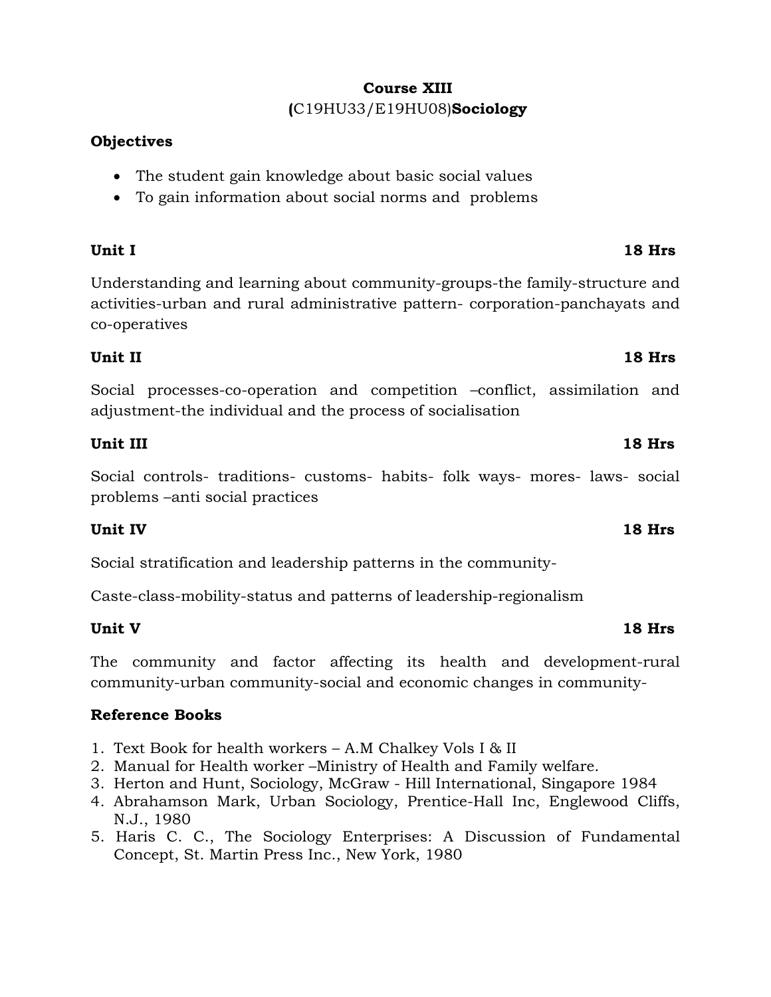## **Course XIII (**C19HU33/E19HU08)**Sociology**

### **Objectives**

- The student gain knowledge about basic social values
- To gain information about social norms and problems

Understanding and learning about community-groups-the family-structure and activities-urban and rural administrative pattern- corporation-panchayats and co-operatives

## **Unit II 18 Hrs**

Social processes-co-operation and competition –conflict, assimilation and adjustment-the individual and the process of socialisation

## **Unit III 18 Hrs**

Social controls- traditions- customs- habits- folk ways- mores- laws- social problems –anti social practices

## **Unit IV 18 Hrs**

Social stratification and leadership patterns in the community-

Caste-class-mobility-status and patterns of leadership-regionalism

## **Unit V 18 Hrs**

The community and factor affecting its health and development-rural community-urban community-social and economic changes in community-

## **Reference Books**

- 1. Text Book for health workers A.M Chalkey Vols I & II
- 2. Manual for Health worker –Ministry of Health and Family welfare.
- 3. Herton and Hunt, Sociology, McGraw Hill International, Singapore 1984
- 4. Abrahamson Mark, Urban Sociology, Prentice-Hall Inc, Englewood Cliffs, N.J., 1980
- 5. Haris C. C., The Sociology Enterprises: A Discussion of Fundamental Concept, St. Martin Press Inc., New York, 1980

## **Unit I 18 Hrs**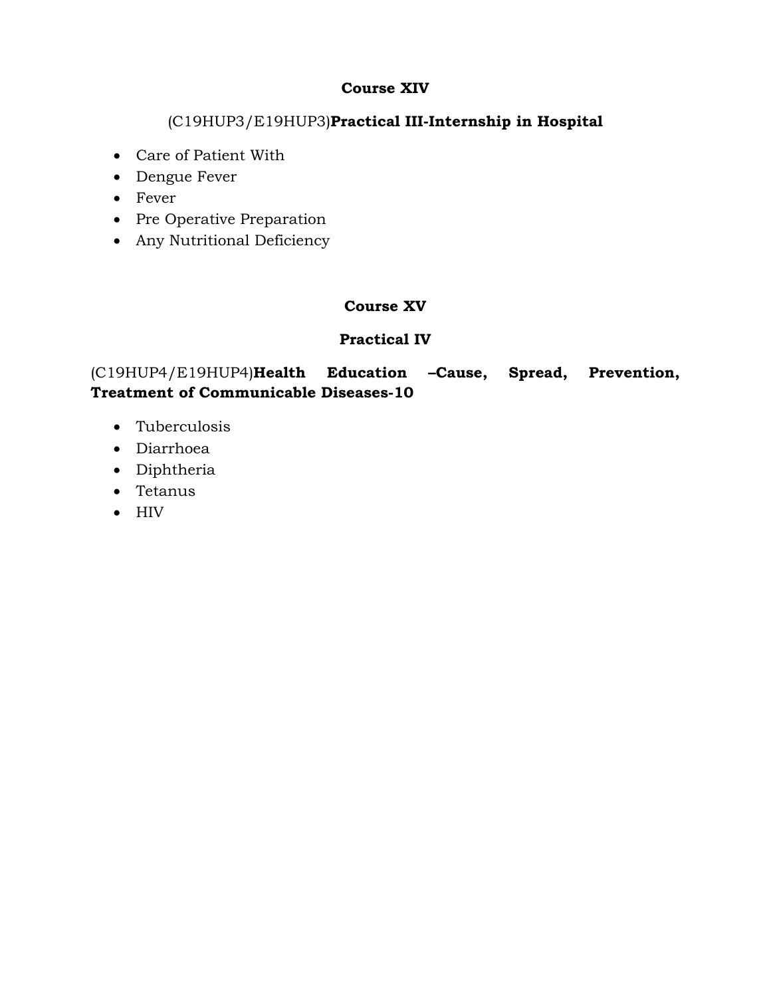### **Course XIV**

## (C19HUP3/E19HUP3)**Practical III-Internship in Hospital**

- Care of Patient With
- Dengue Fever
- Fever
- Pre Operative Preparation
- Any Nutritional Deficiency

## **Course XV**

## **Practical IV**

## (C19HUP4/E19HUP4)**Health Education –Cause, Spread, Prevention, Treatment of Communicable Diseases-10**

- Tuberculosis
- Diarrhoea
- Diphtheria
- Tetanus
- $\bullet$  HIV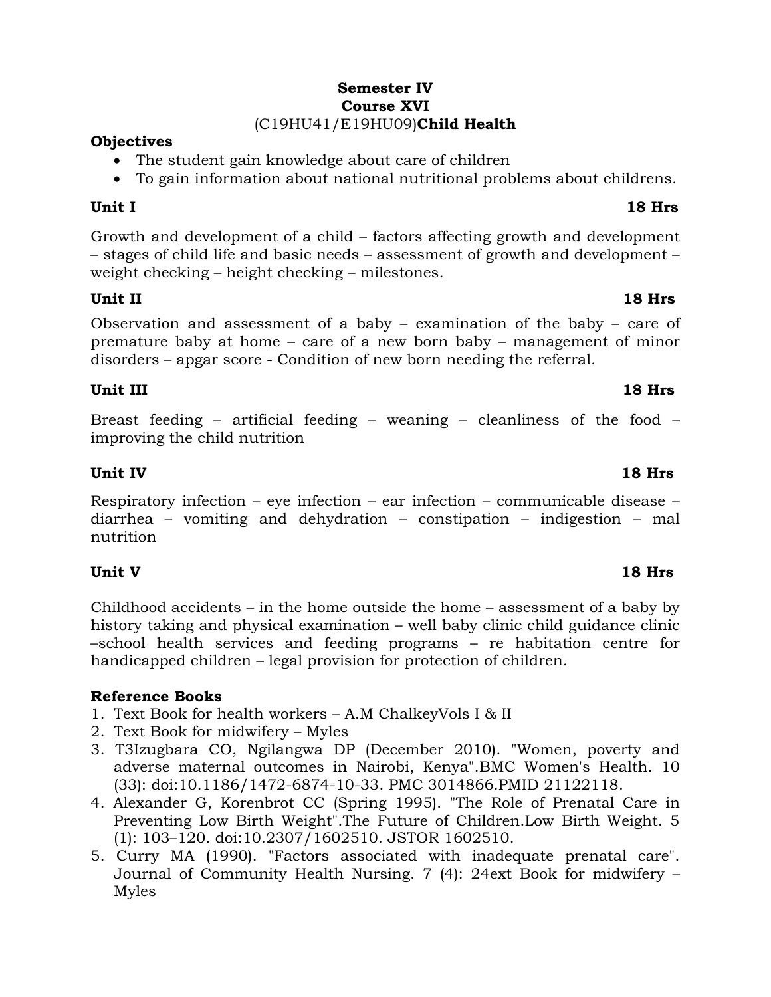### **Semester IV Course XVI** (C19HU41/E19HU09)**Child Health**

### **Objectives**

- The student gain knowledge about care of children
- To gain information about national nutritional problems about childrens.

Growth and development of a child – factors affecting growth and development – stages of child life and basic needs – assessment of growth and development – weight checking – height checking – milestones.

### **Unit II 18 Hrs**

Observation and assessment of a baby – examination of the baby – care of premature baby at home – care of a new born baby – management of minor disorders – apgar score - Condition of new born needing the referral.

## **Unit III 18 Hrs**

Breast feeding – artificial feeding – weaning – cleanliness of the food – improving the child nutrition

### **Unit IV 18 Hrs**

Respiratory infection – eye infection – ear infection – communicable disease – diarrhea – vomiting and dehydration – constipation – indigestion – mal nutrition

## **Unit V 18 Hrs**

Childhood accidents – in the home outside the home – assessment of a baby by history taking and physical examination – well baby clinic child guidance clinic –school health services and feeding programs – re habitation centre for handicapped children – legal provision for protection of children.

## **Reference Books**

- 1. Text Book for health workers A.M ChalkeyVols I & II
- 2. Text Book for midwifery Myles
- 3. T3Izugbara CO, Ngilangwa DP (December 2010). "Women, poverty and adverse maternal outcomes in Nairobi, Kenya".BMC Women's Health. 10 (33): doi:10.1186/1472-6874-10-33. PMC 3014866.PMID 21122118.
- 4. Alexander G, Korenbrot CC (Spring 1995). "The Role of Prenatal Care in Preventing Low Birth Weight".The Future of Children.Low Birth Weight. 5 (1): 103–120. doi:10.2307/1602510. JSTOR 1602510.
- 5. Curry MA (1990). "Factors associated with inadequate prenatal care". Journal of Community Health Nursing. 7 (4): 24ext Book for midwifery – Myles

### **Unit I 18 Hrs**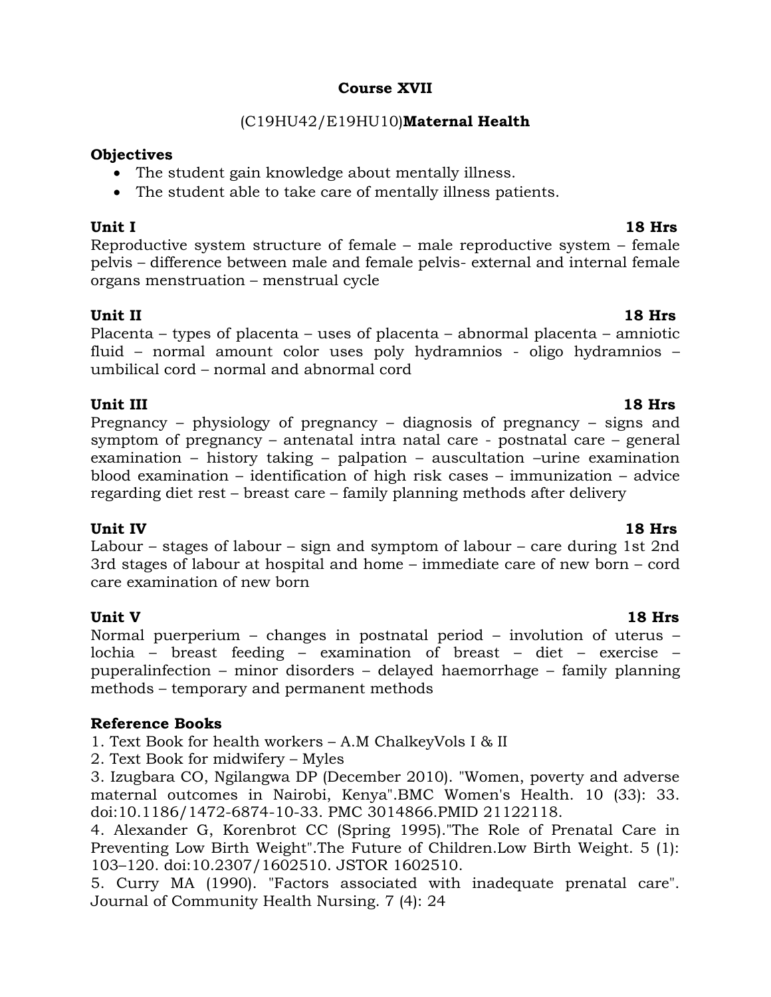### **Course XVII**

### (C19HU42/E19HU10)**Maternal Health**

### **Objectives**

- The student gain knowledge about mentally illness.
- The student able to take care of mentally illness patients.

**Unit I 18 Hrs** Reproductive system structure of female – male reproductive system – female pelvis – difference between male and female pelvis- external and internal female organs menstruation – menstrual cycle

### **Unit II 18 Hrs**

Placenta – types of placenta – uses of placenta – abnormal placenta – amniotic fluid – normal amount color uses poly hydramnios - oligo hydramnios – umbilical cord – normal and abnormal cord

### **Unit III** 18 Hrs

Pregnancy – physiology of pregnancy – diagnosis of pregnancy – signs and symptom of pregnancy – antenatal intra natal care - postnatal care – general examination – history taking – palpation – auscultation –urine examination blood examination – identification of high risk cases – immunization – advice regarding diet rest – breast care – family planning methods after delivery

### **Unit IV 18 Hrs**

Labour – stages of labour – sign and symptom of labour – care during 1st 2nd 3rd stages of labour at hospital and home – immediate care of new born – cord care examination of new born

### **Unit V 18 Hrs**

Normal puerperium – changes in postnatal period – involution of uterus – lochia – breast feeding – examination of breast – diet – exercise – puperalinfection – minor disorders – delayed haemorrhage – family planning methods – temporary and permanent methods

### **Reference Books**

1. Text Book for health workers – A.M ChalkeyVols I & II

2. Text Book for midwifery – Myles

3. Izugbara CO, Ngilangwa DP (December 2010). "Women, poverty and adverse maternal outcomes in Nairobi, Kenya".BMC Women's Health. 10 (33): 33. doi:10.1186/1472-6874-10-33. PMC 3014866.PMID 21122118.

4. Alexander G, Korenbrot CC (Spring 1995)."The Role of Prenatal Care in Preventing Low Birth Weight".The Future of Children.Low Birth Weight. 5 (1): 103–120. doi:10.2307/1602510. JSTOR 1602510.

5. Curry MA (1990). "Factors associated with inadequate prenatal care". Journal of Community Health Nursing. 7 (4): 24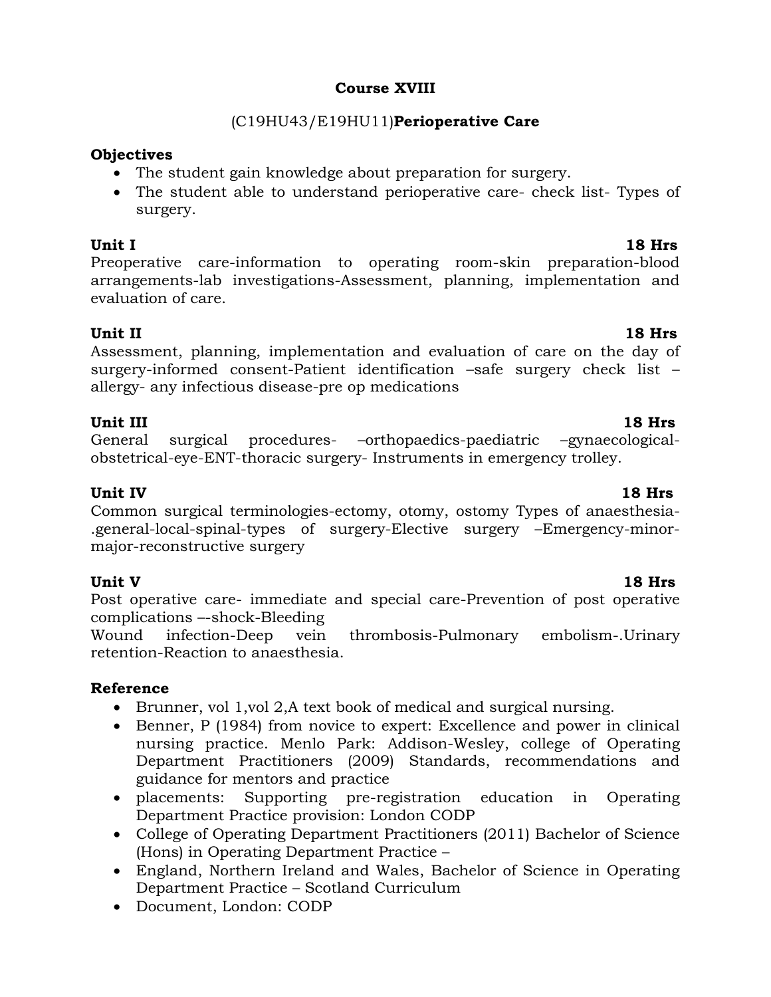### **Course XVIII**

### (C19HU43/E19HU11)**Perioperative Care**

### **Objectives**

- The student gain knowledge about preparation for surgery.
- The student able to understand perioperative care- check list- Types of surgery.

**Unit I 18 Hrs** Preoperative care-information to operating room-skin preparation-blood arrangements-lab investigations-Assessment, planning, implementation and evaluation of care.

### **Unit II 18 Hrs**

Assessment, planning, implementation and evaluation of care on the day of surgery-informed consent-Patient identification –safe surgery check list – allergy- any infectious disease-pre op medications

### **Unit III** 18 Hrs

General surgical procedures- –orthopaedics-paediatric –gynaecologicalobstetrical-eye-ENT-thoracic surgery- Instruments in emergency trolley.

### **Unit IV 18 Hrs**

.general-local-spinal-types of surgery-Elective surgery –Emergency-minor-

major-reconstructive surgery

**Unit V 18 Hrs** Post operative care- immediate and special care-Prevention of post operative complications –-shock-Bleeding

Wound infection-Deep vein thrombosis-Pulmonary embolism-.Urinary retention-Reaction to anaesthesia.

### **Reference**

- Brunner, vol 1,vol 2,A text book of medical and surgical nursing.
- Benner, P (1984) from novice to expert: Excellence and power in clinical nursing practice. Menlo Park: Addison-Wesley, college of Operating Department Practitioners (2009) Standards, recommendations and guidance for mentors and practice
- placements: Supporting pre-registration education in Operating Department Practice provision: London CODP
- College of Operating Department Practitioners (2011) Bachelor of Science (Hons) in Operating Department Practice –
- England, Northern Ireland and Wales, Bachelor of Science in Operating Department Practice – Scotland Curriculum
- Document, London: CODP

## Common surgical terminologies-ectomy, otomy, ostomy Types of anaesthesia-